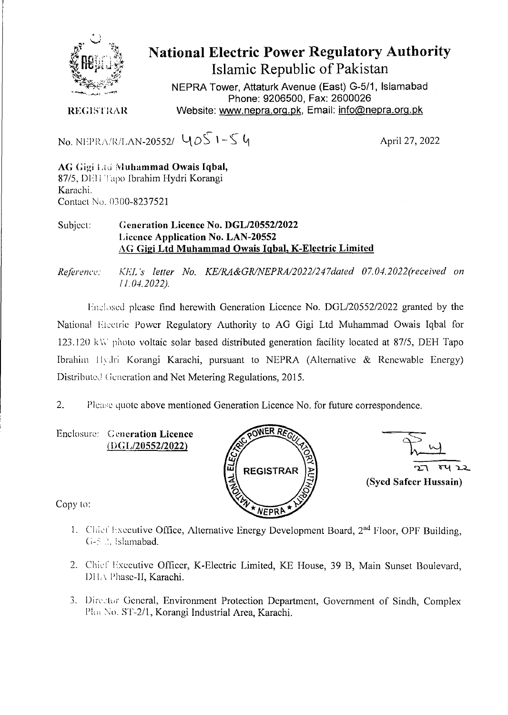

## **National Electric Power Regulatory Authority Islamic Republic of Pakistan**

NEPRA Tower, Attaturk Avenue (East) G-5/1, Islamabad Phone: 9206500, Fax: 2600026 REGISTRAR Website: www.nepra.org.pk, Email: info@nepra.org.pk

No. NEPRA/R/LAN-20552/  $405 - 54$ 

AG Gigi Lii **Muhammad Owais Iqbal,**  87/5. DEH Tapo Ibrahim Hydri Korangi Karachi. Contact No. 0300-8237521

## Subject: **Generation Licence No.** *DGL12055212022*  **Licence Application No.** LAN-20552 AG **Gigi Ltd Muhammad Owais IqbaI,** K**-Electric Limited**

*Reference: KEJ. 's letter No. KE/R1&GR1NEPRA/2022/247dated 07.04. 2022'received on / 1.04.2022).* 

Enclosed please find herewith Generation Licence No. DGL/20552/2022 granted by the National Electric Power Regulatory Authority to AG Gigi Ltd Muhammad Owais Iqbal for 123.120 *kV photo* voltaic solar based distributed generation facility located at 87/5, DEH Tapo Ibrahim I Ivdri Korangi Karachi, pursuant to NEPRA (Alternative & Renewable Energy) Distributed Generation and Net Metering Regulations, 2015.

2. Please quote above mentioned Generation Licence No. for future correspondence.

Enclosure: Generation Licence *(DGL/2055212022)* 





Copy to:

- 1. Chief Executive Office, Alternative Energy Development Board, 2<sup>nd</sup> Floor, OPF Building, G-5.2. Islamabad.
- 2. Chief Executive Officer, K-Electric Limited, KE House, 39 B, Main Sunset Boulevard, DHA Phase-II, Karachi.
- 3. Director General, Environment Protection Department, Government of Sindh, Complex Plot No. ST-2/1, Korangi Industrial Area, Karachi.